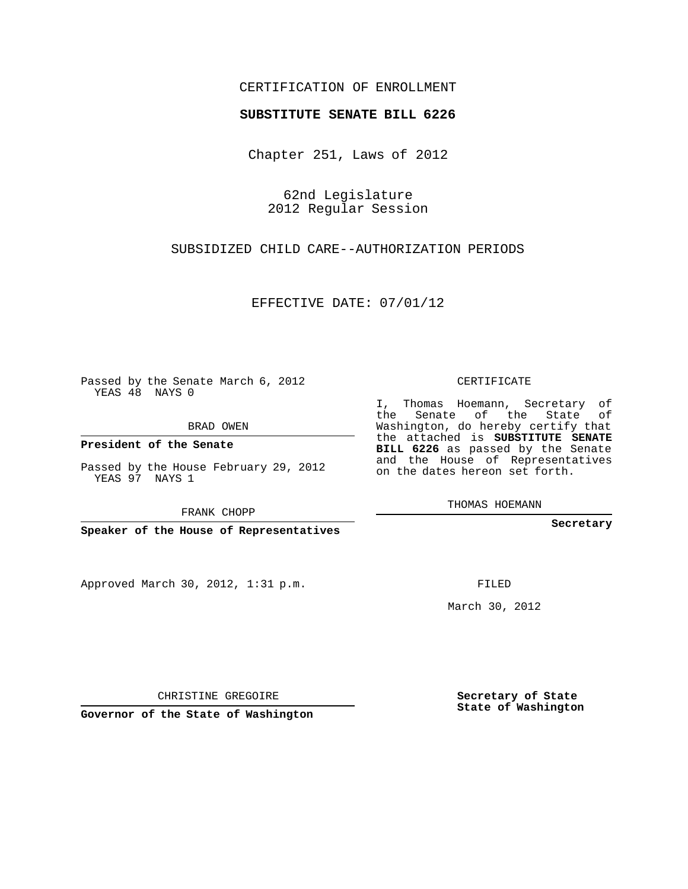## CERTIFICATION OF ENROLLMENT

## **SUBSTITUTE SENATE BILL 6226**

Chapter 251, Laws of 2012

62nd Legislature 2012 Regular Session

SUBSIDIZED CHILD CARE--AUTHORIZATION PERIODS

EFFECTIVE DATE: 07/01/12

Passed by the Senate March 6, 2012 YEAS 48 NAYS 0

BRAD OWEN

**President of the Senate**

YEAS 97 NAYS 1

FRANK CHOPP

**Speaker of the House of Representatives**

Approved March 30, 2012, 1:31 p.m.

CERTIFICATE

I, Thomas Hoemann, Secretary of the Senate of the State of Washington, do hereby certify that the attached is **SUBSTITUTE SENATE BILL 6226** as passed by the Senate and the House of Representatives on the dates hereon set forth.

THOMAS HOEMANN

**Secretary**

FILED

March 30, 2012

**Secretary of State State of Washington**

CHRISTINE GREGOIRE

**Governor of the State of Washington**

Passed by the House February 29, 2012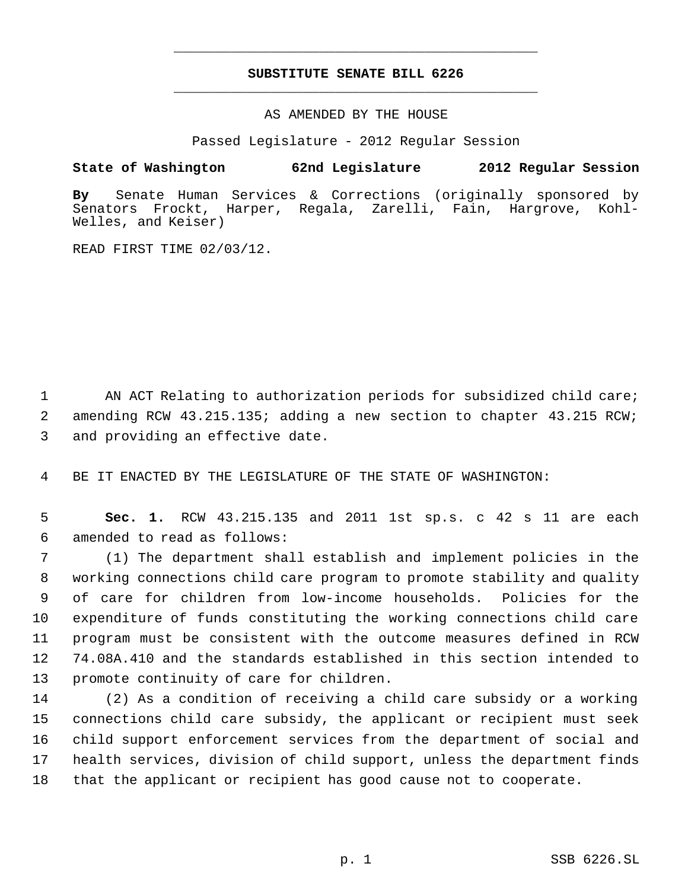## **SUBSTITUTE SENATE BILL 6226** \_\_\_\_\_\_\_\_\_\_\_\_\_\_\_\_\_\_\_\_\_\_\_\_\_\_\_\_\_\_\_\_\_\_\_\_\_\_\_\_\_\_\_\_\_

\_\_\_\_\_\_\_\_\_\_\_\_\_\_\_\_\_\_\_\_\_\_\_\_\_\_\_\_\_\_\_\_\_\_\_\_\_\_\_\_\_\_\_\_\_

AS AMENDED BY THE HOUSE

Passed Legislature - 2012 Regular Session

## **State of Washington 62nd Legislature 2012 Regular Session**

**By** Senate Human Services & Corrections (originally sponsored by Senators Frockt, Harper, Regala, Zarelli, Fain, Hargrove, Kohl-Welles, and Keiser)

READ FIRST TIME 02/03/12.

1 AN ACT Relating to authorization periods for subsidized child care; 2 amending RCW 43.215.135; adding a new section to chapter 43.215 RCW; 3 and providing an effective date.

4 BE IT ENACTED BY THE LEGISLATURE OF THE STATE OF WASHINGTON:

 5 **Sec. 1.** RCW 43.215.135 and 2011 1st sp.s. c 42 s 11 are each 6 amended to read as follows:

 (1) The department shall establish and implement policies in the working connections child care program to promote stability and quality of care for children from low-income households. Policies for the expenditure of funds constituting the working connections child care program must be consistent with the outcome measures defined in RCW 74.08A.410 and the standards established in this section intended to promote continuity of care for children.

 (2) As a condition of receiving a child care subsidy or a working connections child care subsidy, the applicant or recipient must seek child support enforcement services from the department of social and health services, division of child support, unless the department finds that the applicant or recipient has good cause not to cooperate.